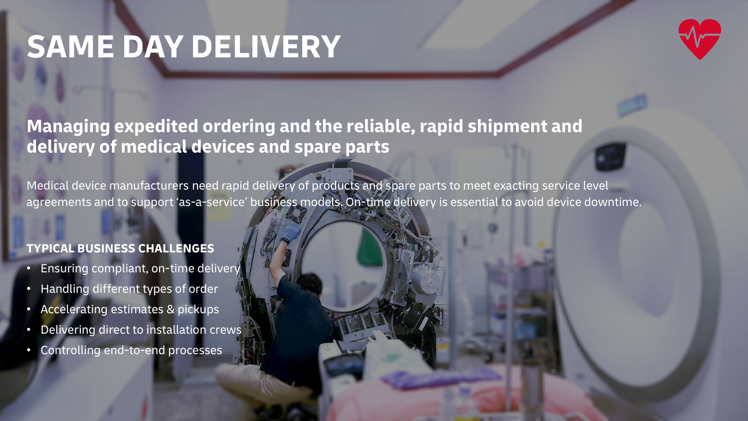# **SAME DAY DELIVERY**



## **Managing expedited ordering and the reliable, rapid shipment and delivery of medical devices and spare parts**

Medical device manufacturers need rapid delivery of products and spare parts to meet exacting service level agreements and to support 'as-a-service' business models. On-time delivery is essential to avoid device downtime.

### **TYPICAL BUSINESS CHALLENGES**

- Ensuring compliant, on-time delivery
- **Handling different types of order**
- Accelerating estimates & pickups
- Delivering direct to installation crews
- Controlling end-to-end processes